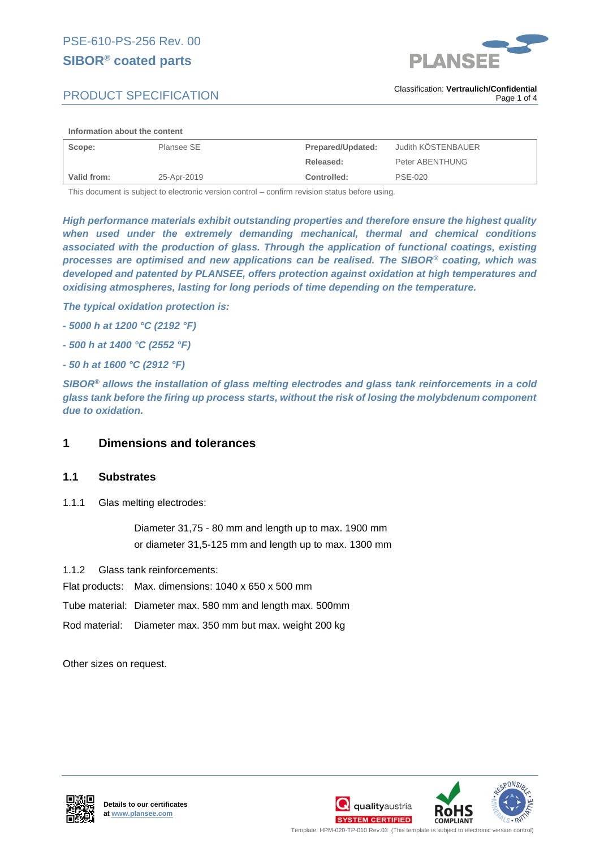# **SIBOR***®* **coated parts**



# PRODUCT SPECIFICATION

#### **Information about the content**

| Scope:      | Plansee SE  | Prepared/Updated: | Judith KÖSTENBAUER |
|-------------|-------------|-------------------|--------------------|
|             |             | Released:         | Peter ABENTHUNG    |
| Valid from: | 25-Apr-2019 | Controlled:       | <b>PSE-020</b>     |

This document is subject to electronic version control – confirm revision status before using.

*High performance materials exhibit outstanding properties and therefore ensure the highest quality when used under the extremely demanding mechanical, thermal and chemical conditions associated with the production of glass. Through the application of functional coatings, existing processes are optimised and new applications can be realised. The SIBOR® coating, which was developed and patented by PLANSEE, offers protection against oxidation at high temperatures and oxidising atmospheres, lasting for long periods of time depending on the temperature.* 

*The typical oxidation protection is:*

- *- 5000 h at 1200 °C (2192 °F)*
- *- 500 h at 1400 °C (2552 °F)*
- *- 50 h at 1600 °C (2912 °F)*

*SIBOR® allows the installation of glass melting electrodes and glass tank reinforcements in a cold glass tank before the firing up process starts, without the risk of losing the molybdenum component due to oxidation.* 

### **1 Dimensions and tolerances**

### **1.1 Substrates**

1.1.1 Glas melting electrodes:

Diameter 31,75 - 80 mm and length up to max. 1900 mm or diameter 31,5-125 mm and length up to max. 1300 mm

1.1.2 Glass tank reinforcements:

Flat products: Max. dimensions: 1040 x 650 x 500 mm

- Tube material: Diameter max. 580 mm and length max. 500mm
- Rod material: Diameter max. 350 mm but max. weight 200 kg

Other sizes on request.







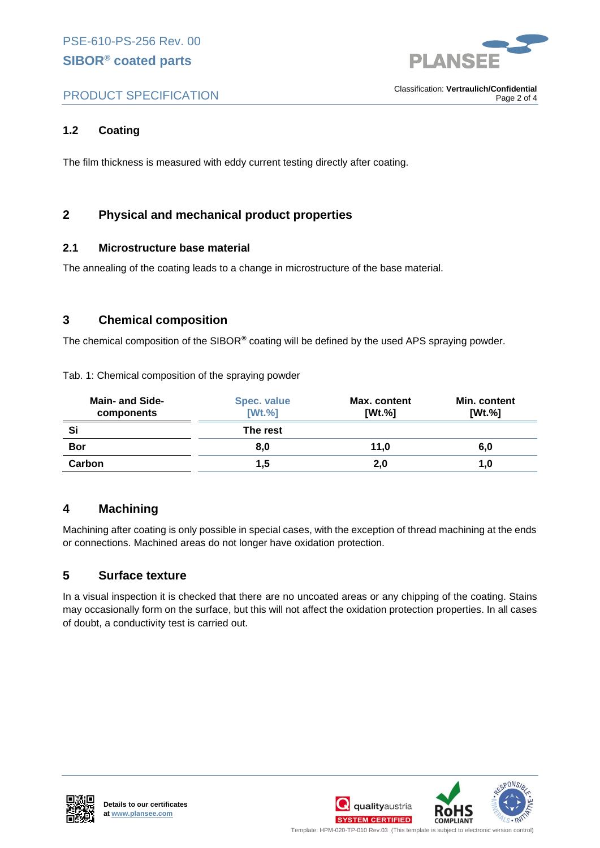

# PRODUCT SPECIFICATION

. Classification: **Vertraulich/Confidential** Page 2 of 4

## **1.2 Coating**

The film thickness is measured with eddy current testing directly after coating.

# **2 Physical and mechanical product properties**

### **2.1 Microstructure base material**

The annealing of the coating leads to a change in microstructure of the base material.

### **3 Chemical composition**

The chemical composition of the SIBOR*®* coating will be defined by the used APS spraying powder.

|  | Tab. 1: Chemical composition of the spraying powder |  |  |
|--|-----------------------------------------------------|--|--|
|  |                                                     |  |  |

| <b>Main- and Side-</b><br>components | Spec. value<br>[Wt.%] | Max. content<br>[Wt. %] | Min. content<br>[Wt.%] |
|--------------------------------------|-----------------------|-------------------------|------------------------|
| Si                                   | The rest              |                         |                        |
| <b>Bor</b>                           | 8,0                   | 11.0                    | 6,0                    |
| Carbon                               | 1.5                   | 2,0                     | 1,0                    |

### **4 Machining**

Machining after coating is only possible in special cases, with the exception of thread machining at the ends or connections. Machined areas do not longer have oxidation protection.

### **5 Surface texture**

In a visual inspection it is checked that there are no uncoated areas or any chipping of the coating. Stains may occasionally form on the surface, but this will not affect the oxidation protection properties. In all cases of doubt, a conductivity test is carried out.





Template: HPM-020-TP-010 Rev.03 (This template is subject to electronic version control)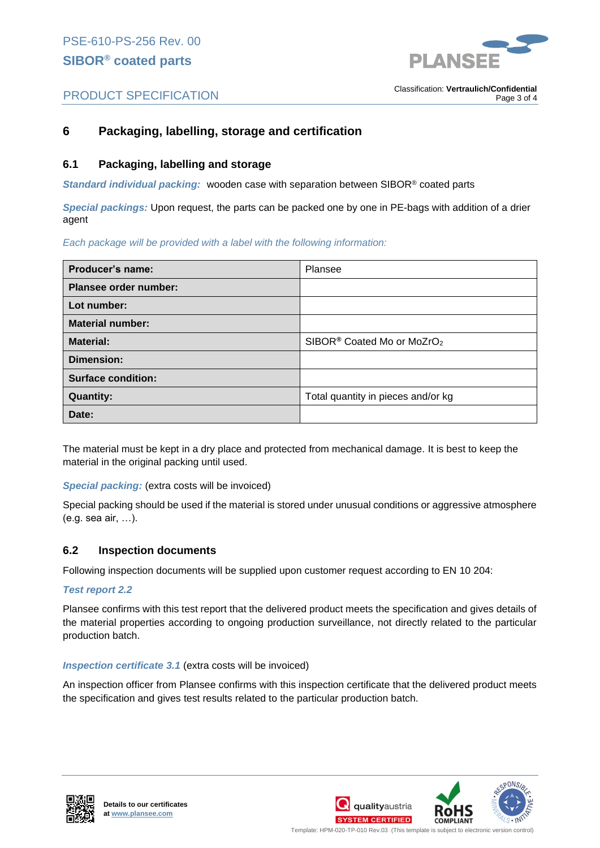

# PRODUCT SPECIFICATION

#### . Classification: **Vertraulich/Confidential** Page 3 of 4

## **6 Packaging, labelling, storage and certification**

### **6.1 Packaging, labelling and storage**

*Standard individual packing:* wooden case with separation between SIBOR® coated parts

*Special packings:* Upon request, the parts can be packed one by one in PE-bags with addition of a drier agent

### *Each package will be provided with a label with the following information:*

| Producer's name:          | Plansee                                            |  |
|---------------------------|----------------------------------------------------|--|
| Plansee order number:     |                                                    |  |
| Lot number:               |                                                    |  |
| <b>Material number:</b>   |                                                    |  |
| <b>Material:</b>          | SIBOR <sup>®</sup> Coated Mo or MoZrO <sub>2</sub> |  |
| Dimension:                |                                                    |  |
| <b>Surface condition:</b> |                                                    |  |
| <b>Quantity:</b>          | Total quantity in pieces and/or kg                 |  |
| Date:                     |                                                    |  |

The material must be kept in a dry place and protected from mechanical damage. It is best to keep the material in the original packing until used.

### *Special packing:* (extra costs will be invoiced)

Special packing should be used if the material is stored under unusual conditions or aggressive atmosphere (e.g. sea air, …).

### **6.2 Inspection documents**

Following inspection documents will be supplied upon customer request according to EN 10 204:

### *Test report 2.2*

Plansee confirms with this test report that the delivered product meets the specification and gives details of the material properties according to ongoing production surveillance, not directly related to the particular production batch.

### *Inspection certificate 3.1* (extra costs will be invoiced)

An inspection officer from Plansee confirms with this inspection certificate that the delivered product meets the specification and gives test results related to the particular production batch.





Template: HPM-020-TP-010 Rev.03 (This template is subject to electronic version control) .